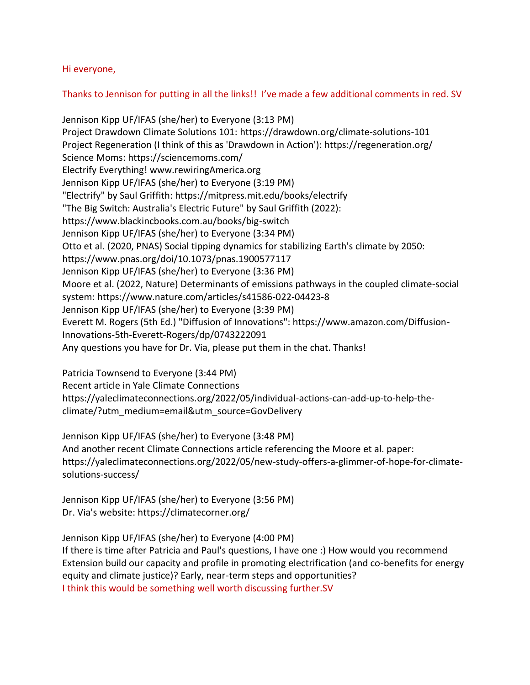Hi everyone,

Thanks to Jennison for putting in all the links!! I've made a few additional comments in red. SV

Jennison Kipp UF/IFAS (she/her) to Everyone (3:13 PM) Project Drawdown Climate Solutions 101: https://drawdown.org/climate-solutions-101 Project Regeneration (I think of this as 'Drawdown in Action'): https://regeneration.org/ Science Moms: https://sciencemoms.com/ Electrify Everything! www.rewiringAmerica.org Jennison Kipp UF/IFAS (she/her) to Everyone (3:19 PM) "Electrify" by Saul Griffith: https://mitpress.mit.edu/books/electrify "The Big Switch: Australia's Electric Future" by Saul Griffith (2022): https://www.blackincbooks.com.au/books/big-switch Jennison Kipp UF/IFAS (she/her) to Everyone (3:34 PM) Otto et al. (2020, PNAS) Social tipping dynamics for stabilizing Earth's climate by 2050: https://www.pnas.org/doi/10.1073/pnas.1900577117 Jennison Kipp UF/IFAS (she/her) to Everyone (3:36 PM) Moore et al. (2022, Nature) Determinants of emissions pathways in the coupled climate-social system: https://www.nature.com/articles/s41586-022-04423-8 Jennison Kipp UF/IFAS (she/her) to Everyone (3:39 PM) Everett M. Rogers (5th Ed.) "Diffusion of Innovations": https://www.amazon.com/Diffusion-Innovations-5th-Everett-Rogers/dp/0743222091 Any questions you have for Dr. Via, please put them in the chat. Thanks!

Patricia Townsend to Everyone (3:44 PM) Recent article in Yale Climate Connections https://yaleclimateconnections.org/2022/05/individual-actions-can-add-up-to-help-theclimate/?utm\_medium=email&utm\_source=GovDelivery

Jennison Kipp UF/IFAS (she/her) to Everyone (3:48 PM) And another recent Climate Connections article referencing the Moore et al. paper: https://yaleclimateconnections.org/2022/05/new-study-offers-a-glimmer-of-hope-for-climatesolutions-success/

Jennison Kipp UF/IFAS (she/her) to Everyone (3:56 PM) Dr. Via's website: https://climatecorner.org/

Jennison Kipp UF/IFAS (she/her) to Everyone (4:00 PM) If there is time after Patricia and Paul's questions, I have one :) How would you recommend Extension build our capacity and profile in promoting electrification (and co-benefits for energy equity and climate justice)? Early, near-term steps and opportunities? I think this would be something well worth discussing further.SV